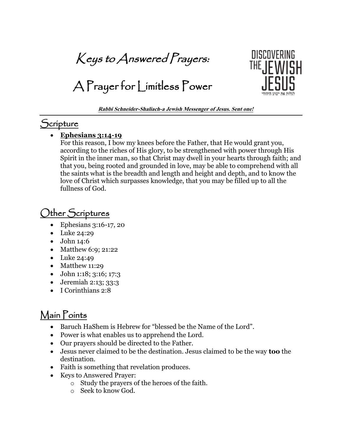Keys to Answered Prayers:

A Prayer for Limitless Power



**Rabbi Schneider-Shaliach-a Jewish Messenger of Jesus. Sent one!**

### **Scripture**

#### • **Ephesians 3:14-19**

For this reason, I bow my knees before the Father, that He would grant you, according to the riches of His glory, to be strengthened with power through His Spirit in the inner man, so that Christ may dwell in your hearts through faith; and that you, being rooted and grounded in love, may be able to comprehend with all the saints what is the breadth and length and height and depth, and to know the love of Christ which surpasses knowledge, that you may be filled up to all the fullness of God.

# Other Scriptures

- Ephesians 3:16-17, 20
- Luke 24:29
- John 14:6
- Matthew 6:9; 21:22
- Luke 24:49
- Matthew 11:29
- John 1:18; 3:16; 17:3
- Jeremiah 2:13; 33:3
- I Corinthians 2:8

## Main Points

- Baruch HaShem is Hebrew for "blessed be the Name of the Lord".
- Power is what enables us to apprehend the Lord.
- Our prayers should be directed to the Father.
- Jesus never claimed to be the destination. Jesus claimed to be the way **too** the destination.
- Faith is something that revelation produces.
- Keys to Answered Prayer:
	- o Study the prayers of the heroes of the faith.
	- o Seek to know God.